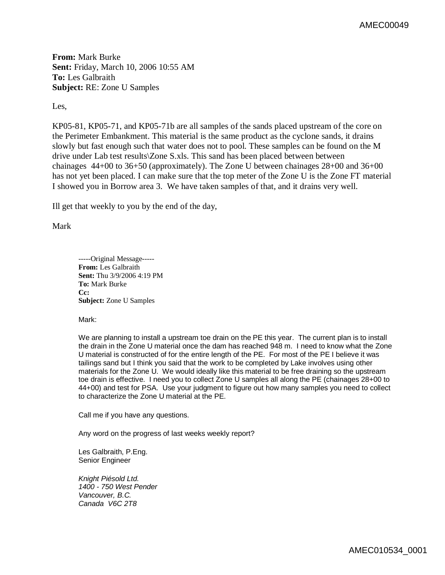**From:** Mark Burke **Sent:** Friday, March 10, 2006 10:55 AM **To:** Les Galbraith **Subject:** RE: Zone U Samples

Les,

KP05-81, KP05-71, and KP05-71b are all samples of the sands placed upstream of the core on the Perimeter Embankment. This material is the same product as the cyclone sands, it drains slowly but fast enough such that water does not to pool. These samples can be found on the M drive under Lab test results\Zone S.xls. This sand has been placed between between chainages 44+00 to 36+50 (approximately). The Zone U between chainages 28+00 and 36+00 has not yet been placed. I can make sure that the top meter of the Zone U is the Zone FT material I showed you in Borrow area 3. We have taken samples of that, and it drains very well.

Ill get that weekly to you by the end of the day,

Mark

-----Original Message----- **From:** Les Galbraith **Sent:** Thu 3/9/2006 4:19 PM **To:** Mark Burke **Cc: Subject:** Zone U Samples

Mark:

We are planning to install a upstream toe drain on the PE this year. The current plan is to install the drain in the Zone U material once the dam has reached 948 m. I need to know what the Zone U material is constructed of for the entire length of the PE. For most of the PE I believe it was tailings sand but I think you said that the work to be completed by Lake involves using other materials for the Zone U. We would ideally like this material to be free draining so the upstream toe drain is effective. I need you to collect Zone U samples all along the PE (chainages 28+00 to 44+00) and test for PSA. Use your judgment to figure out how many samples you need to collect to characterize the Zone U material at the PE.

Call me if you have any questions.

Any word on the progress of last weeks weekly report?

Les Galbraith, P.Eng. Senior Engineer

*Knight Piésold Ltd. 1400 - 750 West Pender Vancouver, B.C. Canada V6C 2T8*